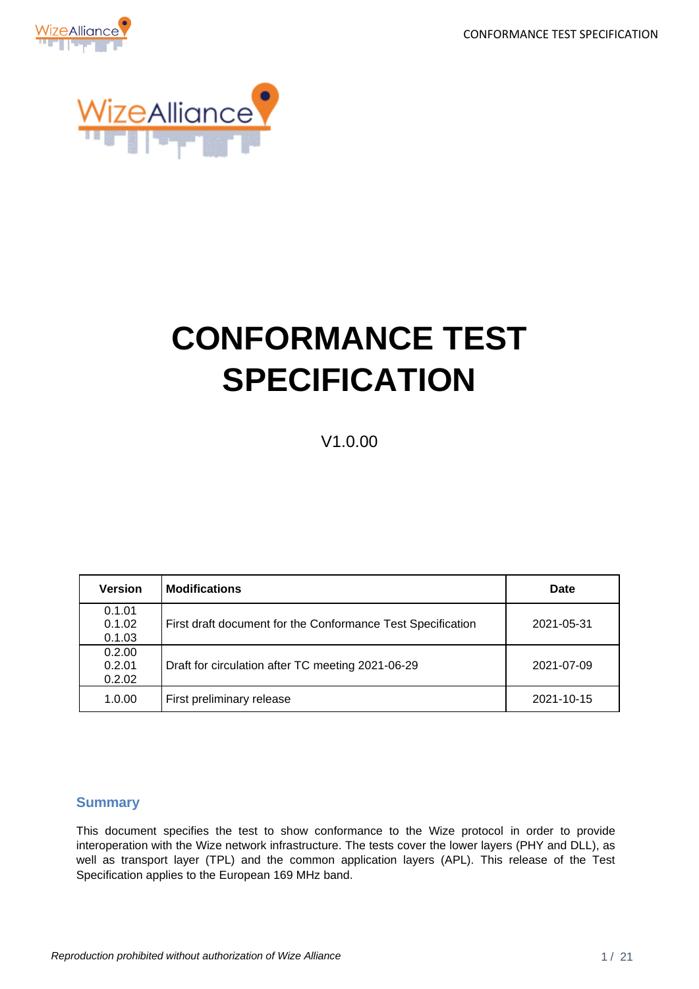CONFORMANCE TEST SPECIFICATION





# **CONFORMANCE TEST SPECIFICATION**

V1.0.00

| <b>Version</b>             | <b>Modifications</b>                                        | <b>Date</b> |
|----------------------------|-------------------------------------------------------------|-------------|
| 0.1.01<br>0.1.02<br>0.1.03 | First draft document for the Conformance Test Specification | 2021-05-31  |
| 0.2.00<br>0.2.01<br>0.2.02 | Draft for circulation after TC meeting 2021-06-29           | 2021-07-09  |
| 1.0.00                     | First preliminary release                                   | 2021-10-15  |

#### <span id="page-0-0"></span>**Summary**

This document specifies the test to show conformance to the Wize protocol in order to provide interoperation with the Wize network infrastructure. The tests cover the lower layers (PHY and DLL), as well as transport layer (TPL) and the common application layers (APL). This release of the Test Specification applies to the European 169 MHz band.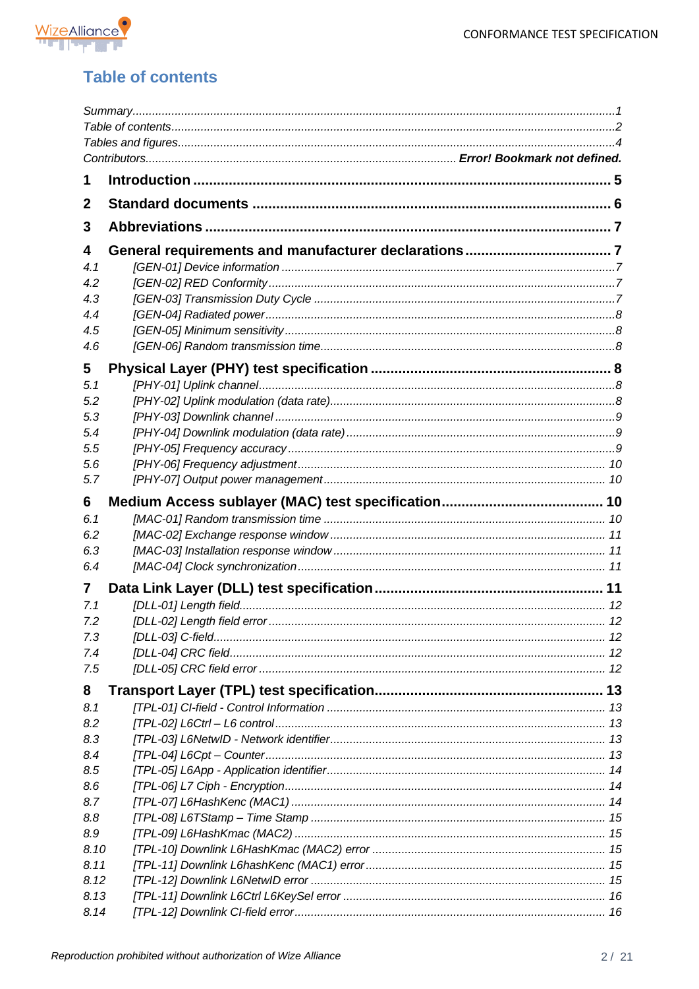



# <span id="page-1-0"></span>**Table of contents**

| 1          |  |
|------------|--|
| 2          |  |
| 3          |  |
| 4          |  |
| 4.1        |  |
| 4.2        |  |
| 4.3        |  |
| 4.4        |  |
| 4.5        |  |
| 4.6        |  |
| 5          |  |
| 5.1        |  |
| 5.2        |  |
| 5.3        |  |
| 5.4        |  |
| 5.5        |  |
| 5.6        |  |
| 5.7        |  |
| 6          |  |
|            |  |
| 6.1<br>6.2 |  |
|            |  |
| 6.3<br>6.4 |  |
|            |  |
| 7          |  |
| 7.1        |  |
| 7.2        |  |
| 7.3        |  |
| 7.4        |  |
| 7.5        |  |
| 8          |  |
| 8.1        |  |
| 8.2        |  |
| 8.3        |  |
| 8.4        |  |
| 8.5        |  |
| 8.6        |  |
| 8.7        |  |
| 8.8        |  |
| 8.9        |  |
| 8.10       |  |
| 8.11       |  |
| 8.12       |  |
| 8.13       |  |
| 8.14       |  |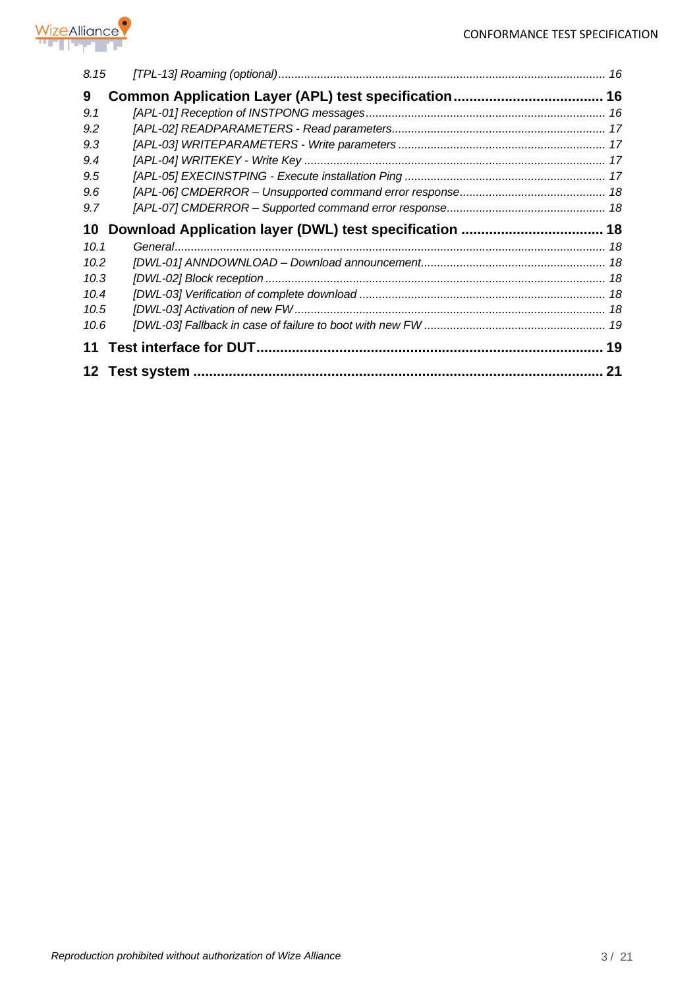

| 8.15 |  |
|------|--|
| 9    |  |
| 9.1  |  |
| 9.2  |  |
| 9.3  |  |
| 9.4  |  |
| 9.5  |  |
| 9.6  |  |
| 9.7  |  |
|      |  |
| 10   |  |
| 10.1 |  |
| 10.2 |  |
| 10.3 |  |
| 10.4 |  |
| 10.5 |  |
| 10.6 |  |
| 11   |  |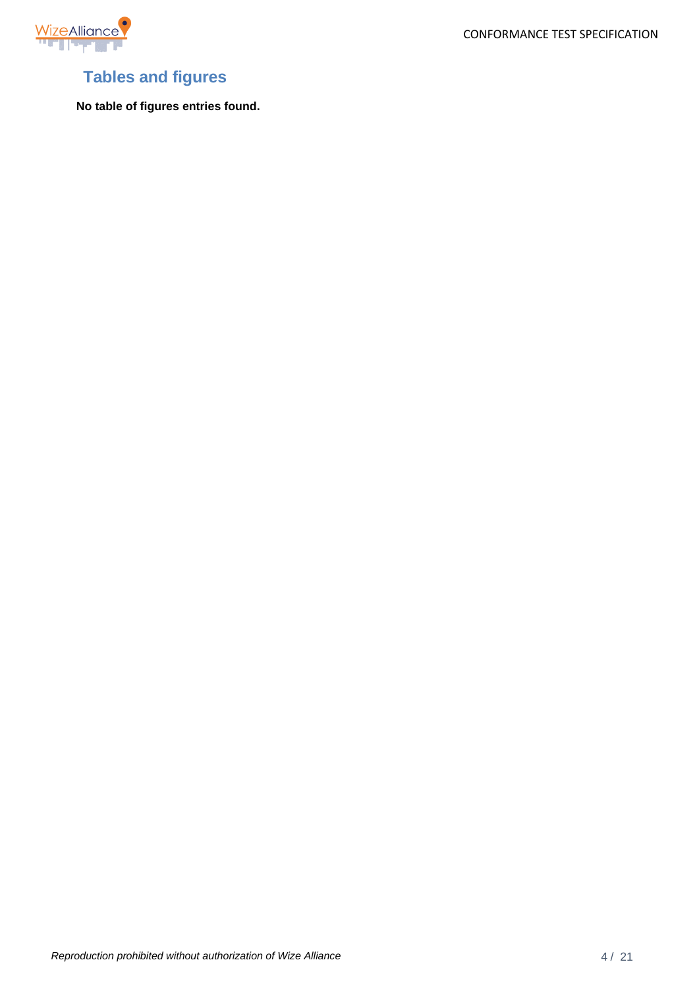

CONFORMANCE TEST SPECIFICATION

# <span id="page-3-0"></span>**Tables and figures**

**No table of figures entries found.**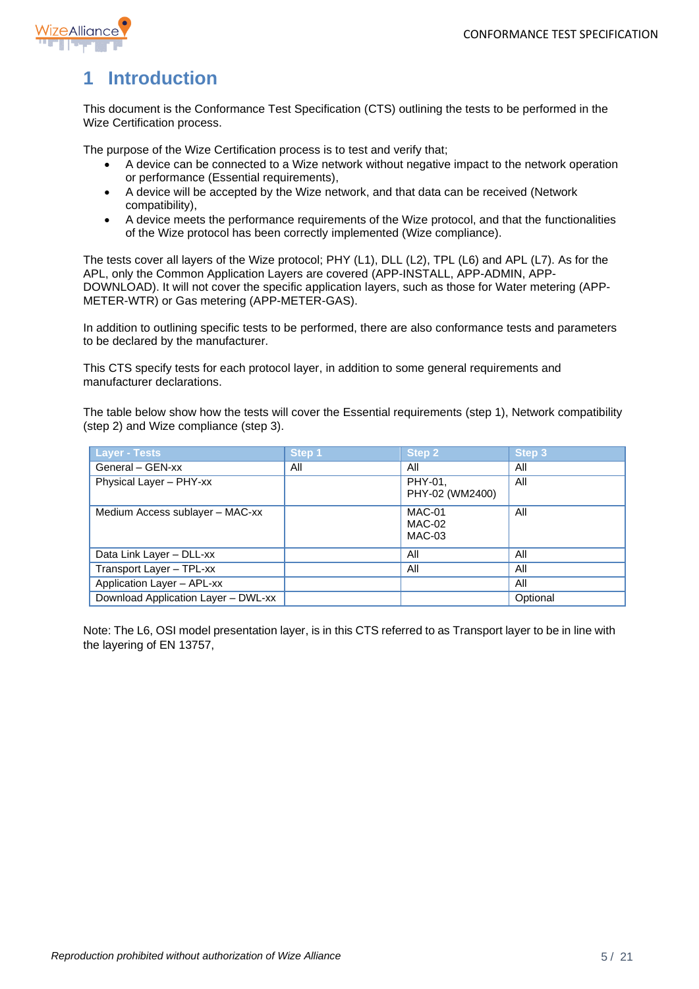

# <span id="page-4-0"></span>**1 Introduction**

This document is the Conformance Test Specification (CTS) outlining the tests to be performed in the Wize Certification process.

The purpose of the Wize Certification process is to test and verify that;

- A device can be connected to a Wize network without negative impact to the network operation or performance (Essential requirements),
- A device will be accepted by the Wize network, and that data can be received (Network compatibility),
- A device meets the performance requirements of the Wize protocol, and that the functionalities of the Wize protocol has been correctly implemented (Wize compliance).

The tests cover all layers of the Wize protocol; PHY (L1), DLL (L2), TPL (L6) and APL (L7). As for the APL, only the Common Application Layers are covered (APP-INSTALL, APP-ADMIN, APP-DOWNLOAD). It will not cover the specific application layers, such as those for Water metering (APP-METER-WTR) or Gas metering (APP-METER-GAS).

In addition to outlining specific tests to be performed, there are also conformance tests and parameters to be declared by the manufacturer.

This CTS specify tests for each protocol layer, in addition to some general requirements and manufacturer declarations.

The table below show how the tests will cover the Essential requirements (step 1), Network compatibility (step 2) and Wize compliance (step 3).

| <b>Layer - Tests</b>                | Step 1 | <b>Step 2</b>              | Step 3   |
|-------------------------------------|--------|----------------------------|----------|
| General - GEN-xx                    | All    | All                        | All      |
| Physical Layer - PHY-xx             |        | PHY-01,<br>PHY-02 (WM2400) | All      |
| Medium Access sublayer - MAC-xx     |        | MAC-01<br>MAC-02<br>MAC-03 | All      |
| Data Link Layer - DLL-xx            |        | All                        | All      |
| Transport Layer - TPL-xx            |        | All                        | All      |
| Application Layer - APL-xx          |        |                            | All      |
| Download Application Layer - DWL-xx |        |                            | Optional |

Note: The L6, OSI model presentation layer, is in this CTS referred to as Transport layer to be in line with the layering of EN 13757,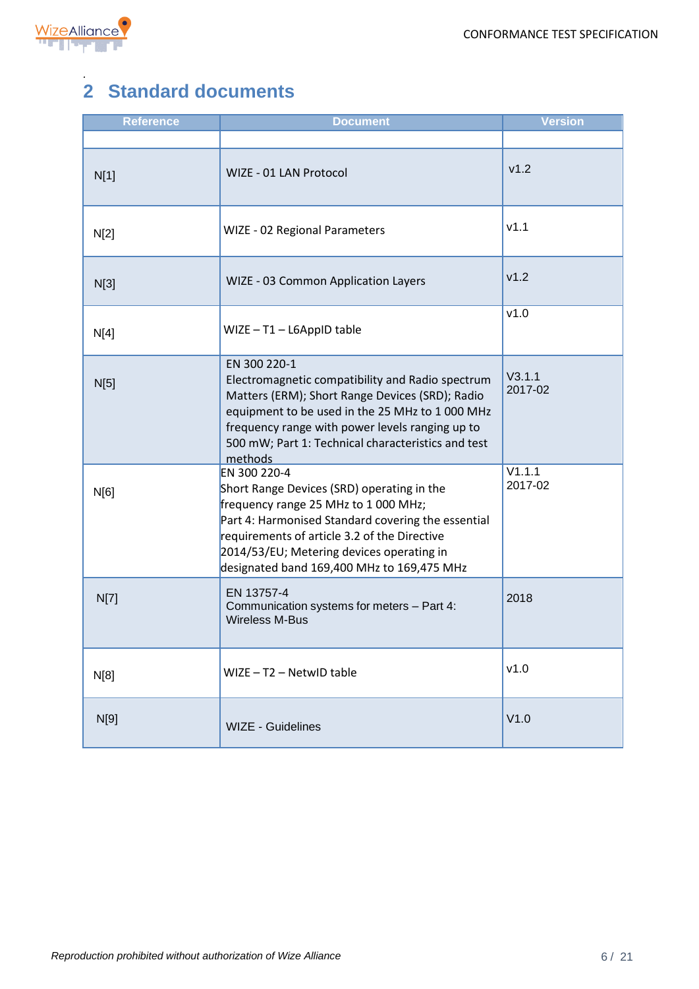

#### <span id="page-5-0"></span>*.* **2 Standard documents**

| <b>Reference</b> | <b>Document</b>                                                                                                                                                                                                                                                                                     | <b>Version</b>    |
|------------------|-----------------------------------------------------------------------------------------------------------------------------------------------------------------------------------------------------------------------------------------------------------------------------------------------------|-------------------|
|                  |                                                                                                                                                                                                                                                                                                     |                   |
| N[1]             | WIZE - 01 LAN Protocol                                                                                                                                                                                                                                                                              | v1.2              |
| N[2]             | WIZE - 02 Regional Parameters                                                                                                                                                                                                                                                                       | V1.1              |
| N[3]             | WIZE - 03 Common Application Layers                                                                                                                                                                                                                                                                 | v1.2              |
| N[4]             | $WIZE - T1 - L6AppID table$                                                                                                                                                                                                                                                                         | v1.0              |
| N[5]             | EN 300 220-1<br>Electromagnetic compatibility and Radio spectrum<br>Matters (ERM); Short Range Devices (SRD); Radio<br>equipment to be used in the 25 MHz to 1000 MHz<br>frequency range with power levels ranging up to<br>500 mW; Part 1: Technical characteristics and test<br>methods           | V3.1.1<br>2017-02 |
| N[6]             | EN 300 220-4<br>Short Range Devices (SRD) operating in the<br>frequency range 25 MHz to 1 000 MHz;<br>Part 4: Harmonised Standard covering the essential<br>requirements of article 3.2 of the Directive<br>2014/53/EU; Metering devices operating in<br>designated band 169,400 MHz to 169,475 MHz | V1.1.1<br>2017-02 |
| N[7]             | EN 13757-4<br>Communication systems for meters - Part 4:<br><b>Wireless M-Bus</b>                                                                                                                                                                                                                   | 2018              |
| N[8]             | $WIZE - T2 - Network$                                                                                                                                                                                                                                                                               | v1.0              |
| N[9]             | <b>WIZE - Guidelines</b>                                                                                                                                                                                                                                                                            | V1.0              |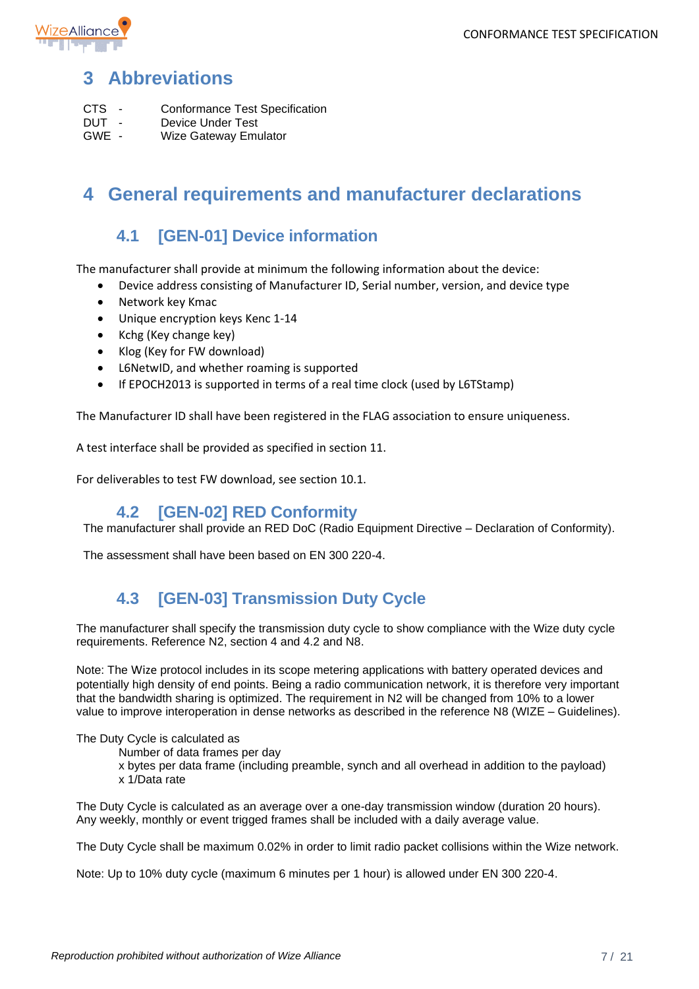

# <span id="page-6-0"></span>**3 Abbreviations**

- CTS Conformance Test Specification<br>
DUT Device Under Test
- DUT Device Under Test<br>
GWE Wize Gateway Emi
- Wize Gateway Emulator

## <span id="page-6-1"></span>**4 General requirements and manufacturer declarations**

## **4.1 [GEN-01] Device information**

<span id="page-6-2"></span>The manufacturer shall provide at minimum the following information about the device:

- Device address consisting of Manufacturer ID, Serial number, version, and device type
- Network key Kmac
- Unique encryption keys Kenc 1-14
- Kchg (Key change key)
- Klog (Key for FW download)
- L6NetwID, and whether roaming is supported
- If EPOCH2013 is supported in terms of a real time clock (used by L6TStamp)

The Manufacturer ID shall have been registered in the FLAG association to ensure uniqueness.

A test interface shall be provided as specified in section [11.](#page-18-1)

For deliverables to test FW download, see section [10.1.](#page-17-3)

#### **4.2 [GEN-02] RED Conformity**

<span id="page-6-3"></span>The manufacturer shall provide an RED DoC (Radio Equipment Directive – Declaration of Conformity).

The assessment shall have been based on EN 300 220-4.

#### **4.3 [GEN-03] Transmission Duty Cycle**

<span id="page-6-4"></span>The manufacturer shall specify the transmission duty cycle to show compliance with the Wize duty cycle requirements. Reference N2, section 4 and 4.2 and N8.

Note: The Wize protocol includes in its scope metering applications with battery operated devices and potentially high density of end points. Being a radio communication network, it is therefore very important that the bandwidth sharing is optimized. The requirement in N2 will be changed from 10% to a lower value to improve interoperation in dense networks as described in the reference N8 (WIZE – Guidelines).

The Duty Cycle is calculated as

Number of data frames per day

x bytes per data frame (including preamble, synch and all overhead in addition to the payload) x 1/Data rate

The Duty Cycle is calculated as an average over a one-day transmission window (duration 20 hours). Any weekly, monthly or event trigged frames shall be included with a daily average value.

The Duty Cycle shall be maximum 0.02% in order to limit radio packet collisions within the Wize network.

Note: Up to 10% duty cycle (maximum 6 minutes per 1 hour) is allowed under EN 300 220-4.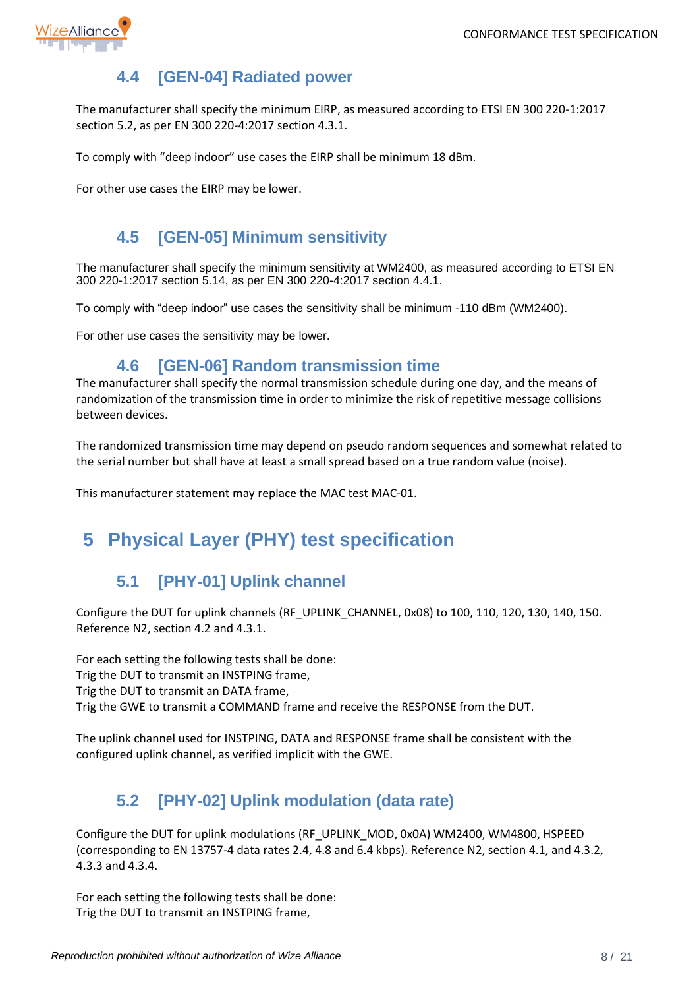

# **4.4 [GEN-04] Radiated power**

<span id="page-7-0"></span>The manufacturer shall specify the minimum EIRP, as measured according to ETSI EN 300 220-1:2017 section 5.2, as per EN 300 220-4:2017 section 4.3.1.

To comply with "deep indoor" use cases the EIRP shall be minimum 18 dBm.

For other use cases the EIRP may be lower.

## **4.5 [GEN-05] Minimum sensitivity**

<span id="page-7-1"></span>The manufacturer shall specify the minimum sensitivity at WM2400, as measured according to ETSI EN 300 220-1:2017 section 5.14, as per EN 300 220-4:2017 section 4.4.1.

To comply with "deep indoor" use cases the sensitivity shall be minimum -110 dBm (WM2400).

For other use cases the sensitivity may be lower.

#### **4.6 [GEN-06] Random transmission time**

<span id="page-7-2"></span>The manufacturer shall specify the normal transmission schedule during one day, and the means of randomization of the transmission time in order to minimize the risk of repetitive message collisions between devices.

The randomized transmission time may depend on pseudo random sequences and somewhat related to the serial number but shall have at least a small spread based on a true random value (noise).

This manufacturer statement may replace the MAC test MAC-01.

# <span id="page-7-3"></span>**5 Physical Layer (PHY) test specification**

## **5.1 [PHY-01] Uplink channel**

<span id="page-7-4"></span>Configure the DUT for uplink channels (RF\_UPLINK\_CHANNEL, 0x08) to 100, 110, 120, 130, 140, 150. Reference N2, section 4.2 and 4.3.1.

For each setting the following tests shall be done: Trig the DUT to transmit an INSTPING frame, Trig the DUT to transmit an DATA frame, Trig the GWE to transmit a COMMAND frame and receive the RESPONSE from the DUT.

The uplink channel used for INSTPING, DATA and RESPONSE frame shall be consistent with the configured uplink channel, as verified implicit with the GWE.

## **5.2 [PHY-02] Uplink modulation (data rate)**

<span id="page-7-5"></span>Configure the DUT for uplink modulations (RF\_UPLINK\_MOD, 0x0A) WM2400, WM4800, HSPEED (corresponding to EN 13757-4 data rates 2.4, 4.8 and 6.4 kbps). Reference N2, section 4.1, and 4.3.2, 4.3.3 and 4.3.4.

For each setting the following tests shall be done: Trig the DUT to transmit an INSTPING frame,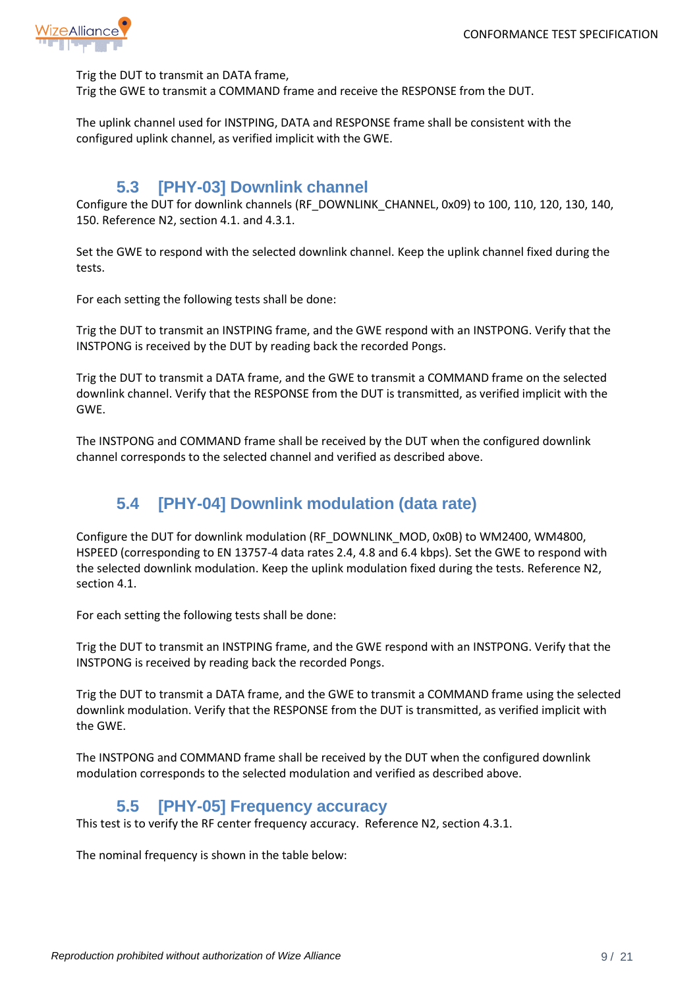

Trig the DUT to transmit an DATA frame,

Trig the GWE to transmit a COMMAND frame and receive the RESPONSE from the DUT.

The uplink channel used for INSTPING, DATA and RESPONSE frame shall be consistent with the configured uplink channel, as verified implicit with the GWE.

#### **5.3 [PHY-03] Downlink channel**

<span id="page-8-0"></span>Configure the DUT for downlink channels (RF\_DOWNLINK\_CHANNEL, 0x09) to 100, 110, 120, 130, 140, 150. Reference N2, section 4.1. and 4.3.1.

Set the GWE to respond with the selected downlink channel. Keep the uplink channel fixed during the tests.

For each setting the following tests shall be done:

Trig the DUT to transmit an INSTPING frame, and the GWE respond with an INSTPONG. Verify that the INSTPONG is received by the DUT by reading back the recorded Pongs.

Trig the DUT to transmit a DATA frame, and the GWE to transmit a COMMAND frame on the selected downlink channel. Verify that the RESPONSE from the DUT is transmitted, as verified implicit with the GWE.

The INSTPONG and COMMAND frame shall be received by the DUT when the configured downlink channel corresponds to the selected channel and verified as described above.

## **5.4 [PHY-04] Downlink modulation (data rate)**

<span id="page-8-1"></span>Configure the DUT for downlink modulation (RF\_DOWNLINK\_MOD, 0x0B) to WM2400, WM4800, HSPEED (corresponding to EN 13757-4 data rates 2.4, 4.8 and 6.4 kbps). Set the GWE to respond with the selected downlink modulation. Keep the uplink modulation fixed during the tests. Reference N2, section 4.1.

For each setting the following tests shall be done:

Trig the DUT to transmit an INSTPING frame, and the GWE respond with an INSTPONG. Verify that the INSTPONG is received by reading back the recorded Pongs.

Trig the DUT to transmit a DATA frame, and the GWE to transmit a COMMAND frame using the selected downlink modulation. Verify that the RESPONSE from the DUT is transmitted, as verified implicit with the GWE.

The INSTPONG and COMMAND frame shall be received by the DUT when the configured downlink modulation corresponds to the selected modulation and verified as described above.

#### **5.5 [PHY-05] Frequency accuracy**

<span id="page-8-2"></span>This test is to verify the RF center frequency accuracy. Reference N2, section 4.3.1.

The nominal frequency is shown in the table below: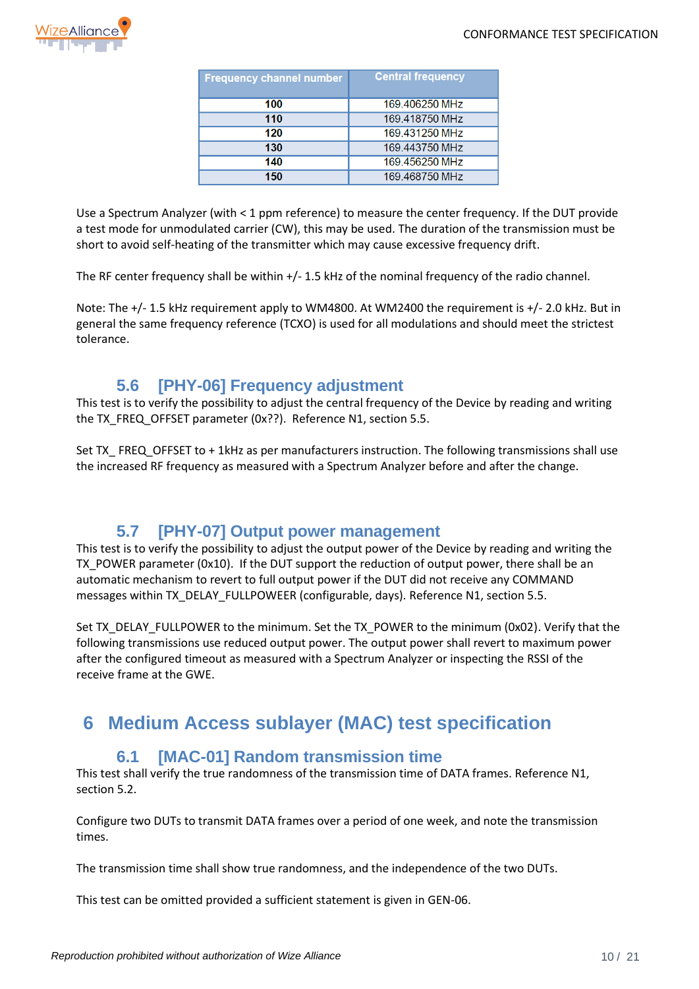

| <b>Frequency channel number</b> | <b>Central frequency</b> |
|---------------------------------|--------------------------|
| 100                             | 169.406250 MHz           |
| 110                             | 169.418750 MHz           |
| 120                             | 169.431250 MHz           |
| 130                             | 169.443750 MHz           |
| 140                             | 169.456250 MHz           |
| 150                             | 169.468750 MHz           |

Use a Spectrum Analyzer (with < 1 ppm reference) to measure the center frequency. If the DUT provide a test mode for unmodulated carrier (CW), this may be used. The duration of the transmission must be short to avoid self-heating of the transmitter which may cause excessive frequency drift.

The RF center frequency shall be within +/- 1.5 kHz of the nominal frequency of the radio channel.

Note: The +/- 1.5 kHz requirement apply to WM4800. At WM2400 the requirement is +/- 2.0 kHz. But in general the same frequency reference (TCXO) is used for all modulations and should meet the strictest tolerance.

#### **5.6 [PHY-06] Frequency adjustment**

<span id="page-9-0"></span>This test is to verify the possibility to adjust the central frequency of the Device by reading and writing the TX\_FREQ\_OFFSET parameter (0x??). Reference N1, section 5.5.

Set TX FREQ OFFSET to + 1kHz as per manufacturers instruction. The following transmissions shall use the increased RF frequency as measured with a Spectrum Analyzer before and after the change.

#### **5.7 [PHY-07] Output power management**

<span id="page-9-1"></span>This test is to verify the possibility to adjust the output power of the Device by reading and writing the TX\_POWER parameter (0x10). If the DUT support the reduction of output power, there shall be an automatic mechanism to revert to full output power if the DUT did not receive any COMMAND messages within TX\_DELAY\_FULLPOWEER (configurable, days). Reference N1, section 5.5.

Set TX\_DELAY\_FULLPOWER to the minimum. Set the TX\_POWER to the minimum (0x02). Verify that the following transmissions use reduced output power. The output power shall revert to maximum power after the configured timeout as measured with a Spectrum Analyzer or inspecting the RSSI of the receive frame at the GWE.

# <span id="page-9-2"></span>**6 Medium Access sublayer (MAC) test specification**

#### **6.1 [MAC-01] Random transmission time**

<span id="page-9-3"></span>This test shall verify the true randomness of the transmission time of DATA frames. Reference N1, section 5.2.

Configure two DUTs to transmit DATA frames over a period of one week, and note the transmission times.

The transmission time shall show true randomness, and the independence of the two DUTs.

This test can be omitted provided a sufficient statement is given in GEN-06.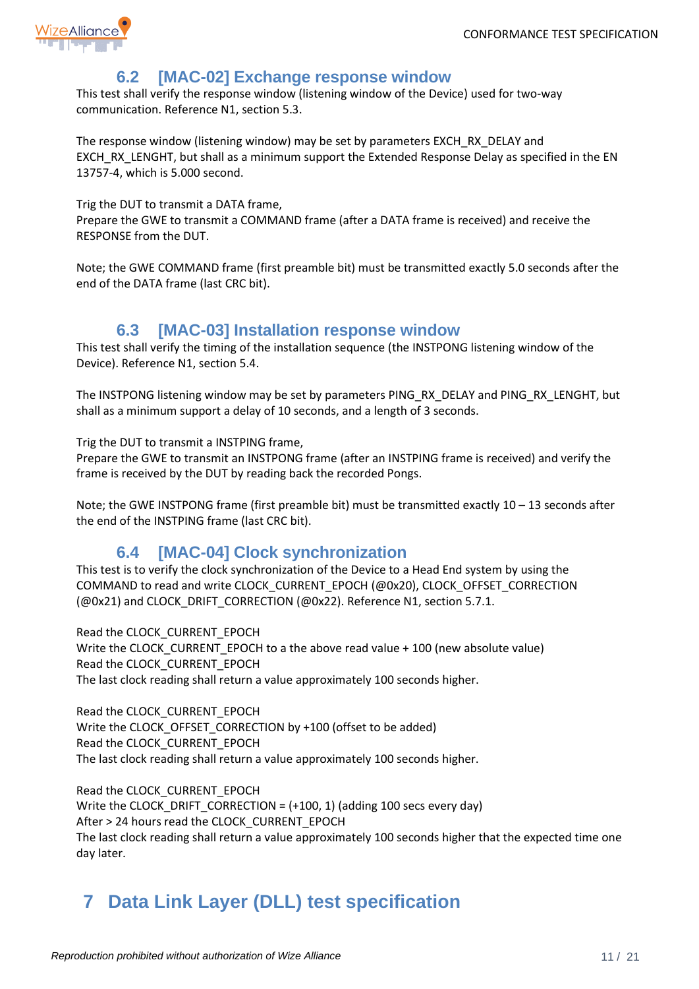

#### **6.2 [MAC-02] Exchange response window**

<span id="page-10-0"></span>This test shall verify the response window (listening window of the Device) used for two-way communication. Reference N1, section 5.3.

The response window (listening window) may be set by parameters EXCH\_RX\_DELAY and EXCH\_RX\_LENGHT, but shall as a minimum support the Extended Response Delay as specified in the EN 13757-4, which is 5.000 second.

Trig the DUT to transmit a DATA frame,

Prepare the GWE to transmit a COMMAND frame (after a DATA frame is received) and receive the RESPONSE from the DUT.

Note; the GWE COMMAND frame (first preamble bit) must be transmitted exactly 5.0 seconds after the end of the DATA frame (last CRC bit).

#### **6.3 [MAC-03] Installation response window**

<span id="page-10-1"></span>This test shall verify the timing of the installation sequence (the INSTPONG listening window of the Device). Reference N1, section 5.4.

The INSTPONG listening window may be set by parameters PING\_RX\_DELAY and PING\_RX\_LENGHT, but shall as a minimum support a delay of 10 seconds, and a length of 3 seconds.

Trig the DUT to transmit a INSTPING frame,

Prepare the GWE to transmit an INSTPONG frame (after an INSTPING frame is received) and verify the frame is received by the DUT by reading back the recorded Pongs.

Note; the GWE INSTPONG frame (first preamble bit) must be transmitted exactly 10 – 13 seconds after the end of the INSTPING frame (last CRC bit).

#### **6.4 [MAC-04] Clock synchronization**

<span id="page-10-2"></span>This test is to verify the clock synchronization of the Device to a Head End system by using the COMMAND to read and write CLOCK\_CURRENT\_EPOCH (@0x20), CLOCK\_OFFSET\_CORRECTION (@0x21) and CLOCK\_DRIFT\_CORRECTION (@0x22). Reference N1, section 5.7.1.

Read the CLOCK\_CURRENT\_EPOCH Write the CLOCK\_CURRENT\_EPOCH to a the above read value + 100 (new absolute value) Read the CLOCK\_CURRENT\_EPOCH

The last clock reading shall return a value approximately 100 seconds higher.

Read the CLOCK\_CURRENT\_EPOCH Write the CLOCK\_OFFSET\_CORRECTION by +100 (offset to be added) Read the CLOCK\_CURRENT\_EPOCH The last clock reading shall return a value approximately 100 seconds higher.

Read the CLOCK\_CURRENT\_EPOCH Write the CLOCK\_DRIFT\_CORRECTION = (+100, 1) (adding 100 secs every day) After > 24 hours read the CLOCK\_CURRENT\_EPOCH The last clock reading shall return a value approximately 100 seconds higher that the expected time one day later.

# <span id="page-10-3"></span>**7 Data Link Layer (DLL) test specification**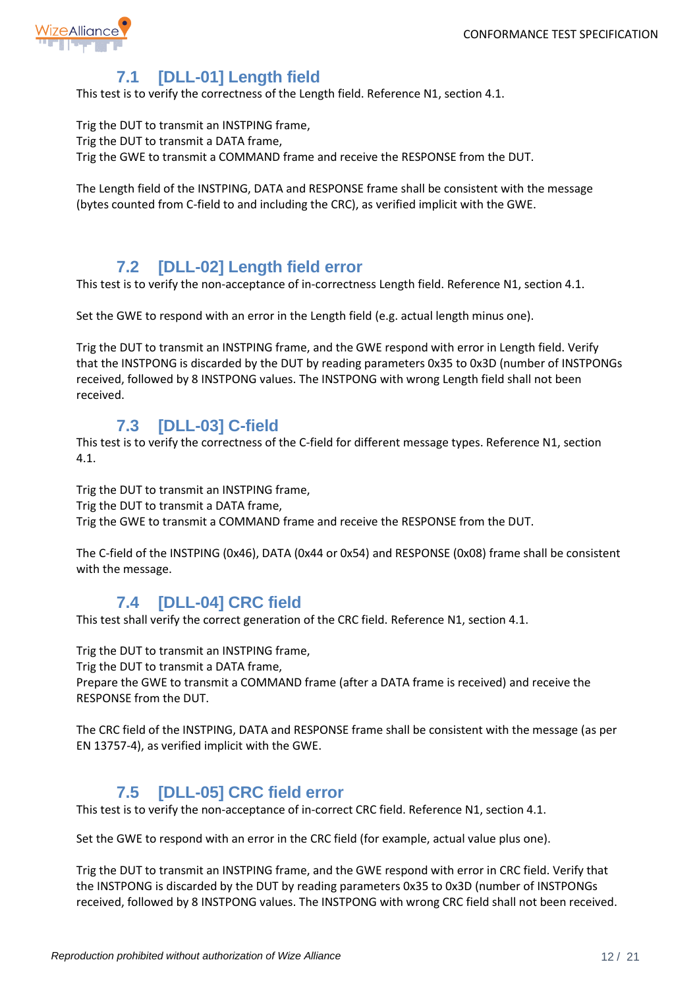

# **7.1 [DLL-01] Length field**

<span id="page-11-0"></span>This test is to verify the correctness of the Length field. Reference N1, section 4.1.

Trig the DUT to transmit an INSTPING frame, Trig the DUT to transmit a DATA frame,

Trig the GWE to transmit a COMMAND frame and receive the RESPONSE from the DUT.

The Length field of the INSTPING, DATA and RESPONSE frame shall be consistent with the message (bytes counted from C-field to and including the CRC), as verified implicit with the GWE.

#### **7.2 [DLL-02] Length field error**

<span id="page-11-1"></span>This test is to verify the non-acceptance of in-correctness Length field. Reference N1, section 4.1.

Set the GWE to respond with an error in the Length field (e.g. actual length minus one).

Trig the DUT to transmit an INSTPING frame, and the GWE respond with error in Length field. Verify that the INSTPONG is discarded by the DUT by reading parameters 0x35 to 0x3D (number of INSTPONGs received, followed by 8 INSTPONG values. The INSTPONG with wrong Length field shall not been received.

## **7.3 [DLL-03] C-field**

<span id="page-11-2"></span>This test is to verify the correctness of the C-field for different message types. Reference N1, section 4.1.

Trig the DUT to transmit an INSTPING frame,

Trig the DUT to transmit a DATA frame,

Trig the GWE to transmit a COMMAND frame and receive the RESPONSE from the DUT.

The C-field of the INSTPING (0x46), DATA (0x44 or 0x54) and RESPONSE (0x08) frame shall be consistent with the message.

#### **7.4 [DLL-04] CRC field**

<span id="page-11-3"></span>This test shall verify the correct generation of the CRC field. Reference N1, section 4.1.

Trig the DUT to transmit an INSTPING frame,

Trig the DUT to transmit a DATA frame,

Prepare the GWE to transmit a COMMAND frame (after a DATA frame is received) and receive the RESPONSE from the DUT.

The CRC field of the INSTPING, DATA and RESPONSE frame shall be consistent with the message (as per EN 13757-4), as verified implicit with the GWE.

## **7.5 [DLL-05] CRC field error**

<span id="page-11-4"></span>This test is to verify the non-acceptance of in-correct CRC field. Reference N1, section 4.1.

Set the GWE to respond with an error in the CRC field (for example, actual value plus one).

Trig the DUT to transmit an INSTPING frame, and the GWE respond with error in CRC field. Verify that the INSTPONG is discarded by the DUT by reading parameters 0x35 to 0x3D (number of INSTPONGs received, followed by 8 INSTPONG values. The INSTPONG with wrong CRC field shall not been received.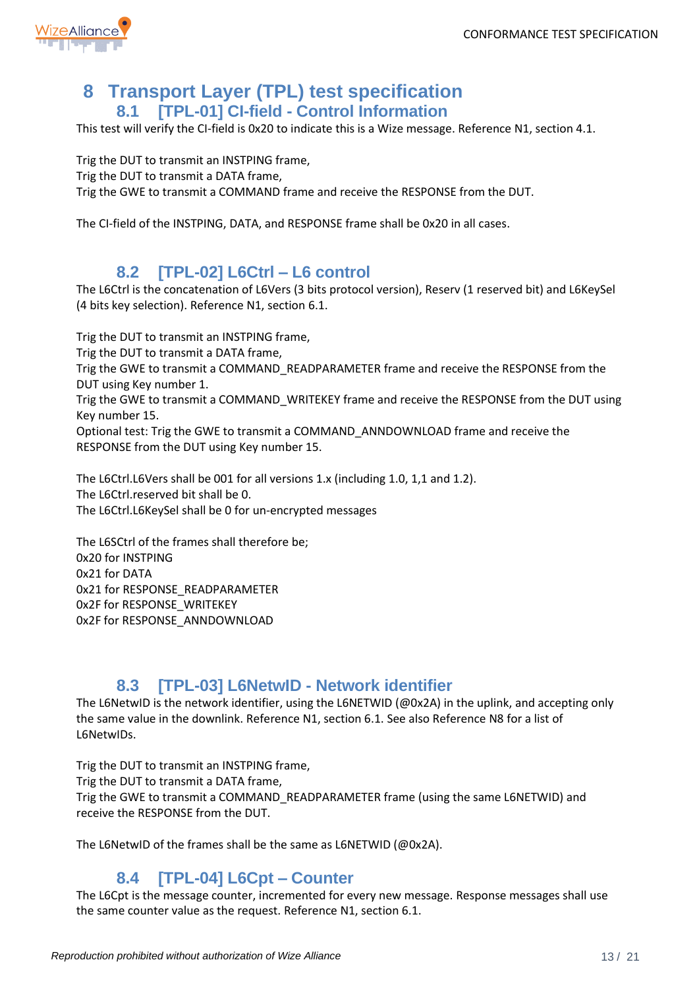

# <span id="page-12-0"></span>**8 Transport Layer (TPL) test specification 8.1 [TPL-01] CI-field - Control Information**

<span id="page-12-1"></span>This test will verify the CI-field is 0x20 to indicate this is a Wize message. Reference N1, section 4.1.

Trig the DUT to transmit an INSTPING frame, Trig the DUT to transmit a DATA frame, Trig the GWE to transmit a COMMAND frame and receive the RESPONSE from the DUT.

The CI-field of the INSTPING, DATA, and RESPONSE frame shall be 0x20 in all cases.

#### **8.2 [TPL-02] L6Ctrl – L6 control**

<span id="page-12-2"></span>The L6Ctrl is the concatenation of L6Vers (3 bits protocol version), Reserv (1 reserved bit) and L6KeySel (4 bits key selection). Reference N1, section 6.1.

Trig the DUT to transmit an INSTPING frame,

Trig the DUT to transmit a DATA frame,

Trig the GWE to transmit a COMMAND\_READPARAMETER frame and receive the RESPONSE from the DUT using Key number 1.

Trig the GWE to transmit a COMMAND\_WRITEKEY frame and receive the RESPONSE from the DUT using Key number 15.

Optional test: Trig the GWE to transmit a COMMAND\_ANNDOWNLOAD frame and receive the RESPONSE from the DUT using Key number 15.

The L6Ctrl.L6Vers shall be 001 for all versions 1.x (including 1.0, 1,1 and 1.2). The L6Ctrl.reserved bit shall be 0. The L6Ctrl.L6KeySel shall be 0 for un-encrypted messages

The L6SCtrl of the frames shall therefore be; 0x20 for INSTPING 0x21 for DATA 0x21 for RESPONSE\_READPARAMETER 0x2F for RESPONSE\_WRITEKEY 0x2F for RESPONSE\_ANNDOWNLOAD

#### **8.3 [TPL-03] L6NetwID - Network identifier**

<span id="page-12-3"></span>The L6NetwID is the network identifier, using the L6NETWID (@0x2A) in the uplink, and accepting only the same value in the downlink. Reference N1, section 6.1. See also Reference N8 for a list of L6NetwIDs.

Trig the DUT to transmit an INSTPING frame,

Trig the DUT to transmit a DATA frame,

Trig the GWE to transmit a COMMAND\_READPARAMETER frame (using the same L6NETWID) and receive the RESPONSE from the DUT.

The L6NetwID of the frames shall be the same as L6NETWID (@0x2A).

#### **8.4 [TPL-04] L6Cpt – Counter**

<span id="page-12-4"></span>The L6Cpt is the message counter, incremented for every new message. Response messages shall use the same counter value as the request. Reference N1, section 6.1.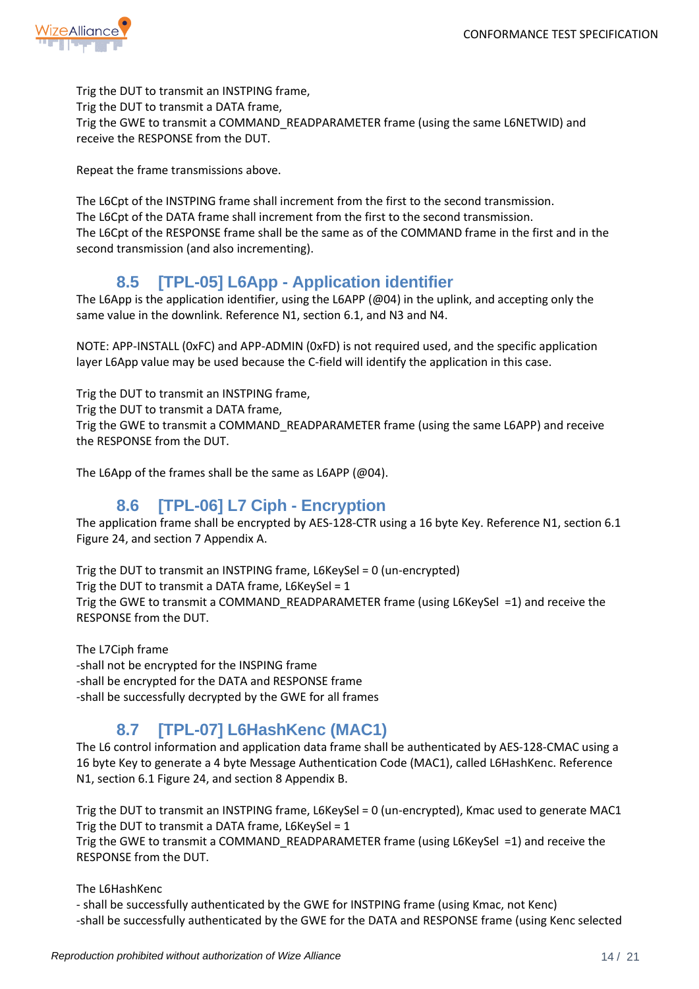

Trig the DUT to transmit an INSTPING frame, Trig the DUT to transmit a DATA frame, Trig the GWE to transmit a COMMAND\_READPARAMETER frame (using the same L6NETWID) and receive the RESPONSE from the DUT.

Repeat the frame transmissions above.

The L6Cpt of the INSTPING frame shall increment from the first to the second transmission. The L6Cpt of the DATA frame shall increment from the first to the second transmission. The L6Cpt of the RESPONSE frame shall be the same as of the COMMAND frame in the first and in the second transmission (and also incrementing).

#### **8.5 [TPL-05] L6App - Application identifier**

<span id="page-13-0"></span>The L6App is the application identifier, using the L6APP (@04) in the uplink, and accepting only the same value in the downlink. Reference N1, section 6.1, and N3 and N4.

NOTE: APP-INSTALL (0xFC) and APP-ADMIN (0xFD) is not required used, and the specific application layer L6App value may be used because the C-field will identify the application in this case.

Trig the DUT to transmit an INSTPING frame,

Trig the DUT to transmit a DATA frame,

Trig the GWE to transmit a COMMAND\_READPARAMETER frame (using the same L6APP) and receive the RESPONSE from the DUT.

The L6App of the frames shall be the same as L6APP (@04).

#### **8.6 [TPL-06] L7 Ciph - Encryption**

<span id="page-13-1"></span>The application frame shall be encrypted by AES-128-CTR using a 16 byte Key. Reference N1, section 6.1 Figure 24, and section 7 Appendix A.

Trig the DUT to transmit an INSTPING frame, L6KeySel = 0 (un-encrypted) Trig the DUT to transmit a DATA frame, L6KeySel = 1 Trig the GWE to transmit a COMMAND\_READPARAMETER frame (using L6KeySel =1) and receive the RESPONSE from the DUT.

The L7Ciph frame -shall not be encrypted for the INSPING frame -shall be encrypted for the DATA and RESPONSE frame -shall be successfully decrypted by the GWE for all frames

# **8.7 [TPL-07] L6HashKenc (MAC1)**

<span id="page-13-2"></span>The L6 control information and application data frame shall be authenticated by AES-128-CMAC using a 16 byte Key to generate a 4 byte Message Authentication Code (MAC1), called L6HashKenc. Reference N1, section 6.1 Figure 24, and section 8 Appendix B.

Trig the DUT to transmit an INSTPING frame, L6KeySel = 0 (un-encrypted), Kmac used to generate MAC1 Trig the DUT to transmit a DATA frame, L6KeySel = 1 Trig the GWE to transmit a COMMAND\_READPARAMETER frame (using L6KeySel =1) and receive the RESPONSE from the DUT.

The L6HashKenc

- shall be successfully authenticated by the GWE for INSTPING frame (using Kmac, not Kenc) -shall be successfully authenticated by the GWE for the DATA and RESPONSE frame (using Kenc selected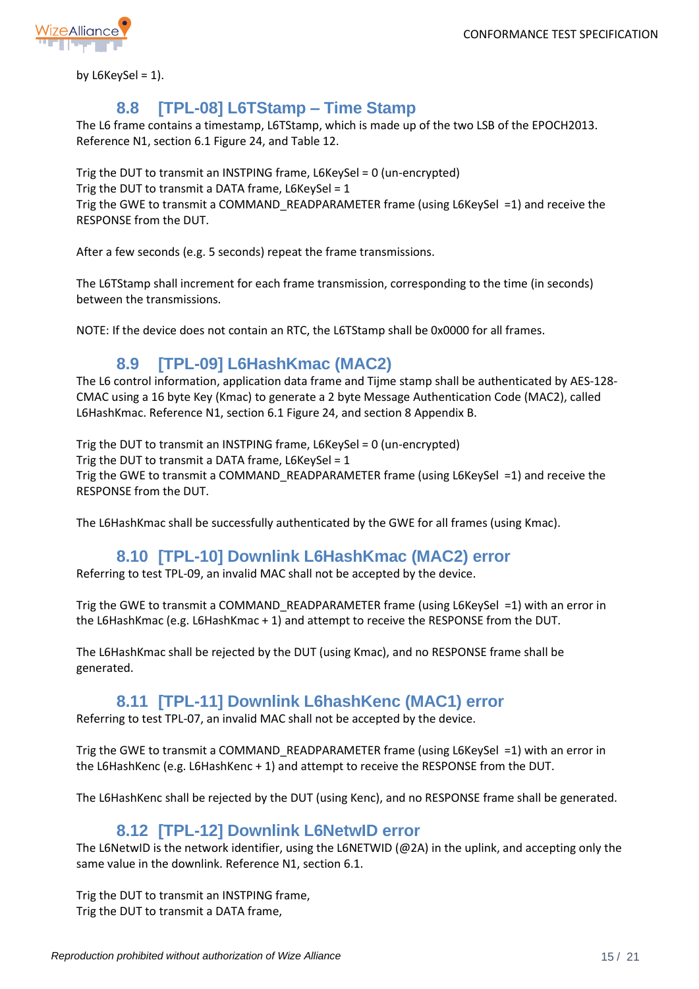

by  $L6KeySel = 1$ ).

#### **8.8 [TPL-08] L6TStamp – Time Stamp**

<span id="page-14-0"></span>The L6 frame contains a timestamp, L6TStamp, which is made up of the two LSB of the EPOCH2013. Reference N1, section 6.1 Figure 24, and Table 12.

Trig the DUT to transmit an INSTPING frame, L6KeySel = 0 (un-encrypted) Trig the DUT to transmit a DATA frame, L6KeySel = 1 Trig the GWE to transmit a COMMAND\_READPARAMETER frame (using L6KeySel =1) and receive the RESPONSE from the DUT.

After a few seconds (e.g. 5 seconds) repeat the frame transmissions.

The L6TStamp shall increment for each frame transmission, corresponding to the time (in seconds) between the transmissions.

NOTE: If the device does not contain an RTC, the L6TStamp shall be 0x0000 for all frames.

#### **8.9 [TPL-09] L6HashKmac (MAC2)**

<span id="page-14-1"></span>The L6 control information, application data frame and Tijme stamp shall be authenticated by AES-128- CMAC using a 16 byte Key (Kmac) to generate a 2 byte Message Authentication Code (MAC2), called L6HashKmac. Reference N1, section 6.1 Figure 24, and section 8 Appendix B.

Trig the DUT to transmit an INSTPING frame, L6KeySel = 0 (un-encrypted)

Trig the DUT to transmit a DATA frame, L6KeySel = 1

Trig the GWE to transmit a COMMAND\_READPARAMETER frame (using L6KeySel =1) and receive the RESPONSE from the DUT.

The L6HashKmac shall be successfully authenticated by the GWE for all frames (using Kmac).

#### **8.10 [TPL-10] Downlink L6HashKmac (MAC2) error**

<span id="page-14-2"></span>Referring to test TPL-09, an invalid MAC shall not be accepted by the device.

Trig the GWE to transmit a COMMAND\_READPARAMETER frame (using L6KeySel =1) with an error in the L6HashKmac (e.g. L6HashKmac + 1) and attempt to receive the RESPONSE from the DUT.

The L6HashKmac shall be rejected by the DUT (using Kmac), and no RESPONSE frame shall be generated.

#### **8.11 [TPL-11] Downlink L6hashKenc (MAC1) error**

<span id="page-14-3"></span>Referring to test TPL-07, an invalid MAC shall not be accepted by the device.

Trig the GWE to transmit a COMMAND\_READPARAMETER frame (using L6KeySel =1) with an error in the L6HashKenc (e.g. L6HashKenc + 1) and attempt to receive the RESPONSE from the DUT.

The L6HashKenc shall be rejected by the DUT (using Kenc), and no RESPONSE frame shall be generated.

#### **8.12 [TPL-12] Downlink L6NetwID error**

<span id="page-14-4"></span>The L6NetwID is the network identifier, using the L6NETWID (@2A) in the uplink, and accepting only the same value in the downlink. Reference N1, section 6.1.

Trig the DUT to transmit an INSTPING frame, Trig the DUT to transmit a DATA frame,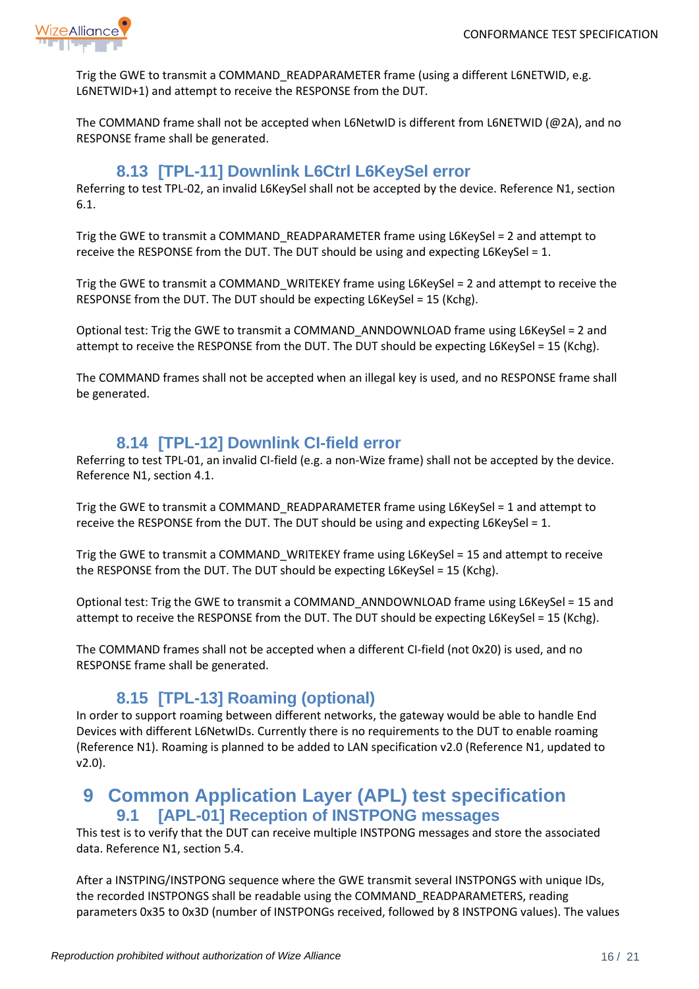

Trig the GWE to transmit a COMMAND\_READPARAMETER frame (using a different L6NETWID, e.g. L6NETWID+1) and attempt to receive the RESPONSE from the DUT.

The COMMAND frame shall not be accepted when L6NetwID is different from L6NETWID (@2A), and no RESPONSE frame shall be generated.

#### **8.13 [TPL-11] Downlink L6Ctrl L6KeySel error**

<span id="page-15-0"></span>Referring to test TPL-02, an invalid L6KeySel shall not be accepted by the device. Reference N1, section 6.1.

Trig the GWE to transmit a COMMAND\_READPARAMETER frame using L6KeySel = 2 and attempt to receive the RESPONSE from the DUT. The DUT should be using and expecting L6KeySel = 1.

Trig the GWE to transmit a COMMAND\_WRITEKEY frame using L6KeySel = 2 and attempt to receive the RESPONSE from the DUT. The DUT should be expecting L6KeySel = 15 (Kchg).

Optional test: Trig the GWE to transmit a COMMAND\_ANNDOWNLOAD frame using L6KeySel = 2 and attempt to receive the RESPONSE from the DUT. The DUT should be expecting L6KeySel = 15 (Kchg).

The COMMAND frames shall not be accepted when an illegal key is used, and no RESPONSE frame shall be generated.

#### **8.14 [TPL-12] Downlink CI-field error**

<span id="page-15-1"></span>Referring to test TPL-01, an invalid CI-field (e.g. a non-Wize frame) shall not be accepted by the device. Reference N1, section 4.1.

Trig the GWE to transmit a COMMAND\_READPARAMETER frame using L6KeySel = 1 and attempt to receive the RESPONSE from the DUT. The DUT should be using and expecting L6KeySel = 1.

Trig the GWE to transmit a COMMAND\_WRITEKEY frame using L6KeySel = 15 and attempt to receive the RESPONSE from the DUT. The DUT should be expecting L6KeySel = 15 (Kchg).

Optional test: Trig the GWE to transmit a COMMAND\_ANNDOWNLOAD frame using L6KeySel = 15 and attempt to receive the RESPONSE from the DUT. The DUT should be expecting L6KeySel = 15 (Kchg).

The COMMAND frames shall not be accepted when a different CI-field (not 0x20) is used, and no RESPONSE frame shall be generated.

#### **8.15 [TPL-13] Roaming (optional)**

<span id="page-15-2"></span>In order to support roaming between different networks, the gateway would be able to handle End Devices with different L6NetwIDs. Currently there is no requirements to the DUT to enable roaming (Reference N1). Roaming is planned to be added to LAN specification v2.0 (Reference N1, updated to v2.0).

#### <span id="page-15-3"></span>**9 Common Application Layer (APL) test specification 9.1 [APL-01] Reception of INSTPONG messages**

<span id="page-15-4"></span>This test is to verify that the DUT can receive multiple INSTPONG messages and store the associated data. Reference N1, section 5.4.

After a INSTPING/INSTPONG sequence where the GWE transmit several INSTPONGS with unique IDs, the recorded INSTPONGS shall be readable using the COMMAND\_READPARAMETERS, reading parameters 0x35 to 0x3D (number of INSTPONGs received, followed by 8 INSTPONG values). The values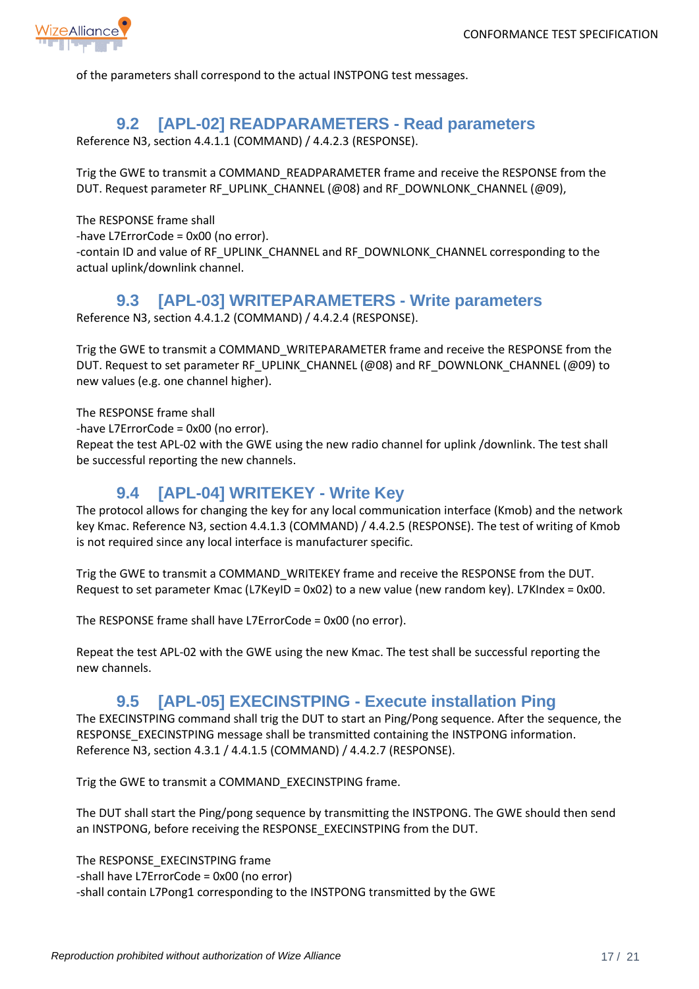

of the parameters shall correspond to the actual INSTPONG test messages.

#### **9.2 [APL-02] READPARAMETERS - Read parameters**

<span id="page-16-0"></span>Reference N3, section 4.4.1.1 (COMMAND) / 4.4.2.3 (RESPONSE).

Trig the GWE to transmit a COMMAND\_READPARAMETER frame and receive the RESPONSE from the DUT. Request parameter RF\_UPLINK\_CHANNEL (@08) and RF\_DOWNLONK\_CHANNEL (@09),

The RESPONSE frame shall

-have L7ErrorCode = 0x00 (no error).

-contain ID and value of RF\_UPLINK\_CHANNEL and RF\_DOWNLONK\_CHANNEL corresponding to the actual uplink/downlink channel.

#### **9.3 [APL-03] WRITEPARAMETERS - Write parameters**

<span id="page-16-1"></span>Reference N3, section 4.4.1.2 (COMMAND) / 4.4.2.4 (RESPONSE).

Trig the GWE to transmit a COMMAND\_WRITEPARAMETER frame and receive the RESPONSE from the DUT. Request to set parameter RF\_UPLINK\_CHANNEL (@08) and RF\_DOWNLONK\_CHANNEL (@09) to new values (e.g. one channel higher).

The RESPONSE frame shall

-have L7ErrorCode = 0x00 (no error).

Repeat the test APL-02 with the GWE using the new radio channel for uplink /downlink. The test shall be successful reporting the new channels.

#### **9.4 [APL-04] WRITEKEY - Write Key**

<span id="page-16-2"></span>The protocol allows for changing the key for any local communication interface (Kmob) and the network key Kmac. Reference N3, section 4.4.1.3 (COMMAND) / 4.4.2.5 (RESPONSE). The test of writing of Kmob is not required since any local interface is manufacturer specific.

Trig the GWE to transmit a COMMAND\_WRITEKEY frame and receive the RESPONSE from the DUT. Request to set parameter Kmac (L7KeyID = 0x02) to a new value (new random key). L7KIndex = 0x00.

The RESPONSE frame shall have L7ErrorCode = 0x00 (no error).

Repeat the test APL-02 with the GWE using the new Kmac. The test shall be successful reporting the new channels.

#### **9.5 [APL-05] EXECINSTPING - Execute installation Ping**

<span id="page-16-3"></span>The EXECINSTPING command shall trig the DUT to start an Ping/Pong sequence. After the sequence, the RESPONSE\_EXECINSTPING message shall be transmitted containing the INSTPONG information. Reference N3, section 4.3.1 / 4.4.1.5 (COMMAND) / 4.4.2.7 (RESPONSE).

Trig the GWE to transmit a COMMAND\_EXECINSTPING frame.

The DUT shall start the Ping/pong sequence by transmitting the INSTPONG. The GWE should then send an INSTPONG, before receiving the RESPONSE\_EXECINSTPING from the DUT.

The RESPONSE\_EXECINSTPING frame -shall have L7ErrorCode = 0x00 (no error) -shall contain L7Pong1 corresponding to the INSTPONG transmitted by the GWE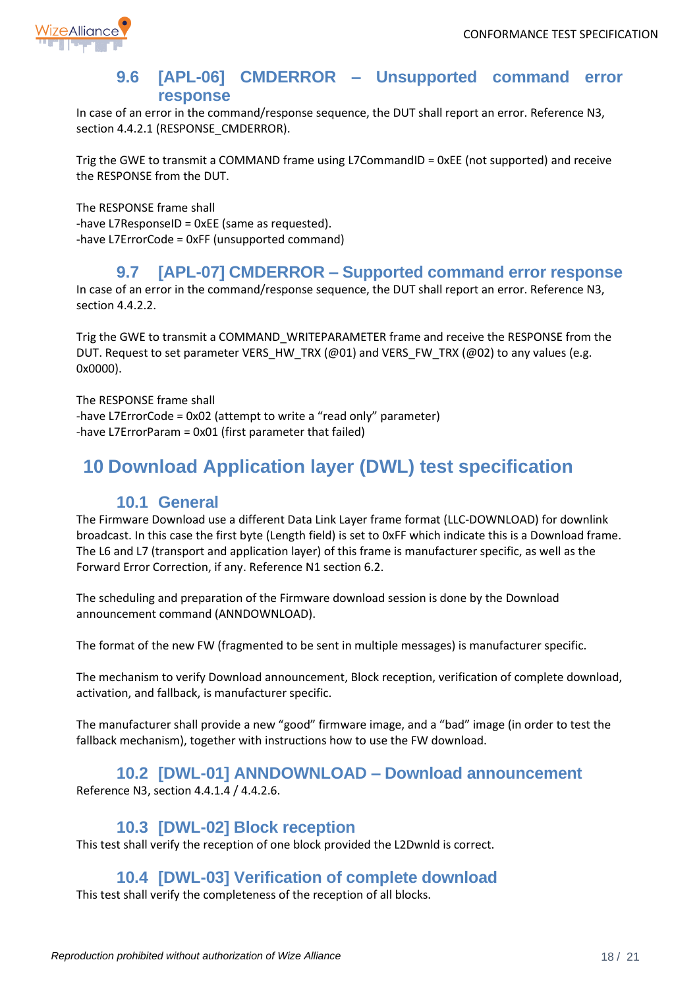

#### **9.6 [APL-06] CMDERROR – Unsupported command error response**

<span id="page-17-0"></span>In case of an error in the command/response sequence, the DUT shall report an error. Reference N3, section 4.4.2.1 (RESPONSE\_CMDERROR).

Trig the GWE to transmit a COMMAND frame using L7CommandID = 0xEE (not supported) and receive the RESPONSE from the DUT.

The RESPONSE frame shall -have L7ResponseID = 0xEE (same as requested). -have L7ErrorCode = 0xFF (unsupported command)

#### **9.7 [APL-07] CMDERROR – Supported command error response**

<span id="page-17-1"></span>In case of an error in the command/response sequence, the DUT shall report an error. Reference N3, section 4.4.2.2.

Trig the GWE to transmit a COMMAND\_WRITEPARAMETER frame and receive the RESPONSE from the DUT. Request to set parameter VERS\_HW\_TRX (@01) and VERS\_FW\_TRX (@02) to any values (e.g. 0x0000).

The RESPONSE frame shall -have L7ErrorCode = 0x02 (attempt to write a "read only" parameter) -have L7ErrorParam = 0x01 (first parameter that failed)

# <span id="page-17-2"></span>**10 Download Application layer (DWL) test specification**

#### **10.1 General**

<span id="page-17-3"></span>The Firmware Download use a different Data Link Layer frame format (LLC-DOWNLOAD) for downlink broadcast. In this case the first byte (Length field) is set to 0xFF which indicate this is a Download frame. The L6 and L7 (transport and application layer) of this frame is manufacturer specific, as well as the Forward Error Correction, if any. Reference N1 section 6.2.

The scheduling and preparation of the Firmware download session is done by the Download announcement command (ANNDOWNLOAD).

The format of the new FW (fragmented to be sent in multiple messages) is manufacturer specific.

The mechanism to verify Download announcement, Block reception, verification of complete download, activation, and fallback, is manufacturer specific.

The manufacturer shall provide a new "good" firmware image, and a "bad" image (in order to test the fallback mechanism), together with instructions how to use the FW download.

#### **10.2 [DWL-01] ANNDOWNLOAD – Download announcement**

<span id="page-17-4"></span>Reference N3, section 4.4.1.4 / 4.4.2.6.

#### **10.3 [DWL-02] Block reception**

<span id="page-17-5"></span>This test shall verify the reception of one block provided the L2Dwnld is correct.

#### **10.4 [DWL-03] Verification of complete download**

<span id="page-17-7"></span><span id="page-17-6"></span>This test shall verify the completeness of the reception of all blocks.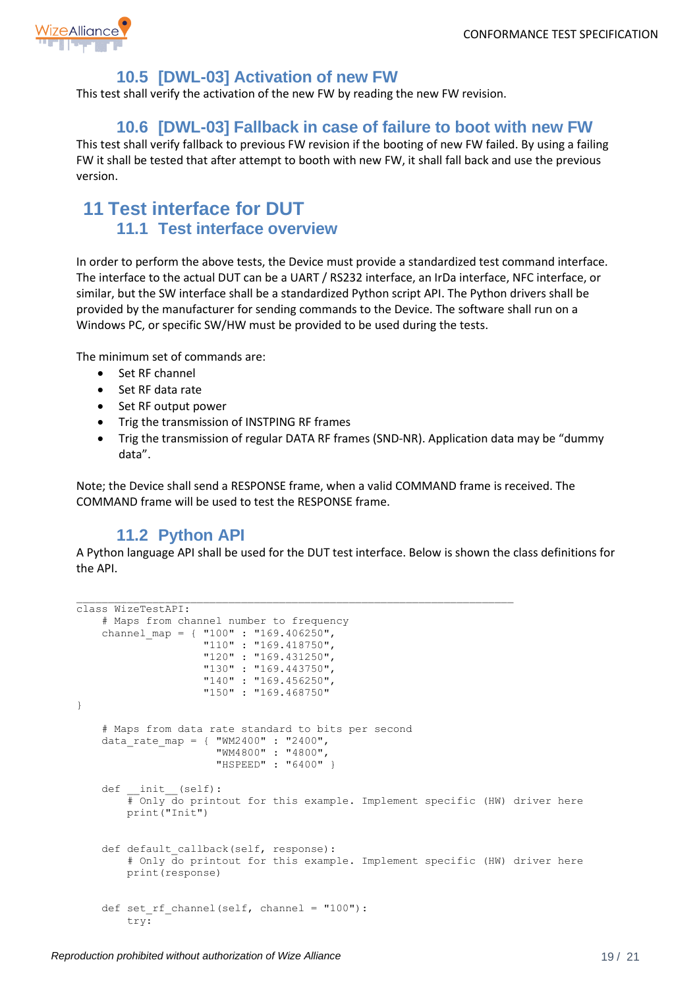

## **10.5 [DWL-03] Activation of new FW**

This test shall verify the activation of the new FW by reading the new FW revision.

#### **10.6 [DWL-03] Fallback in case of failure to boot with new FW**

<span id="page-18-0"></span>This test shall verify fallback to previous FW revision if the booting of new FW failed. By using a failing FW it shall be tested that after attempt to booth with new FW, it shall fall back and use the previous version.

# <span id="page-18-1"></span>**11 Test interface for DUT 11.1 Test interface overview**

In order to perform the above tests, the Device must provide a standardized test command interface. The interface to the actual DUT can be a UART / RS232 interface, an IrDa interface, NFC interface, or similar, but the SW interface shall be a standardized Python script API. The Python drivers shall be provided by the manufacturer for sending commands to the Device. The software shall run on a Windows PC, or specific SW/HW must be provided to be used during the tests.

The minimum set of commands are:

- Set RF channel
- Set RF data rate
- Set RF output power
- Trig the transmission of INSTPING RF frames
- Trig the transmission of regular DATA RF frames (SND-NR). Application data may be "dummy data".

Note; the Device shall send a RESPONSE frame, when a valid COMMAND frame is received. The COMMAND frame will be used to test the RESPONSE frame.

#### **11.2 Python API**

A Python language API shall be used for the DUT test interface. Below is shown the class definitions for the API.

```
class WizeTestAPI:
     # Maps from channel number to frequency
    channel map = { "100" : "169.406250",
                     "110" : "169.418750",
                    "120" : "169.431250", 
                    "130" : "169.443750",
                    "140" : "169.456250", 
                    "150" : "169.468750"
}
     # Maps from data rate standard to bits per second
    data rate map = \{ "WM2400" : "2400",
                       "WM4800" : "4800",
                      "HSPEED" : "6400" }
    def init (self):
         # Only do printout for this example. Implement specific (HW) driver here
         print("Init")
    def default callback(self, response):
         # Only do printout for this example. Implement specific (HW) driver here
         print(response)
    def set rf channel(self, channel = "100"):
         try:
```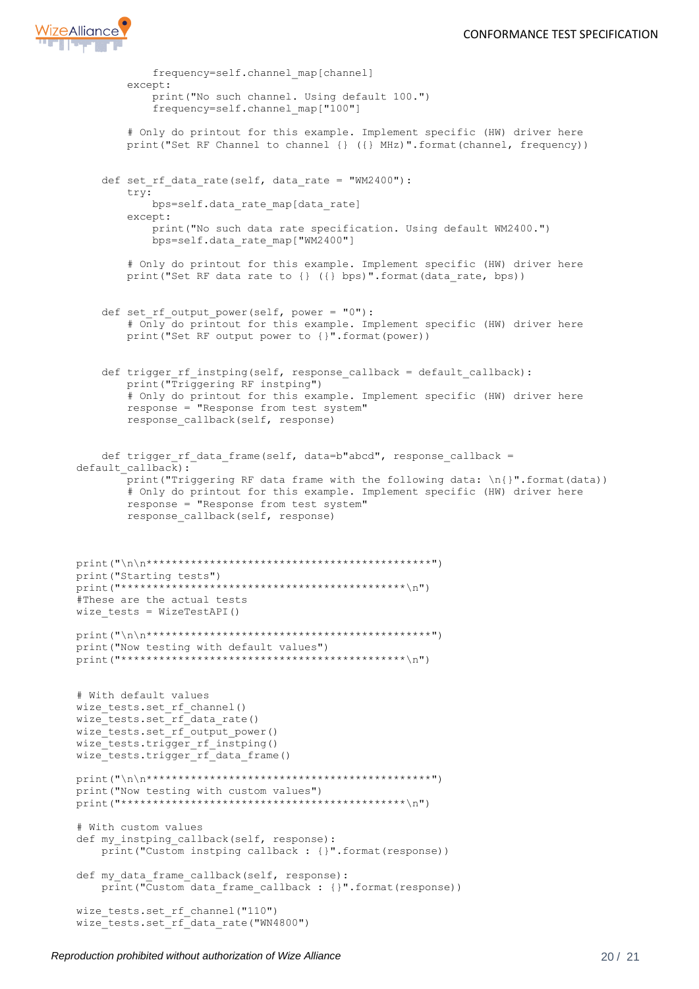

```
 frequency=self.channel_map[channel]
         except:
             print("No such channel. Using default 100.")
             frequency=self.channel_map["100"]
         # Only do printout for this example. Implement specific (HW) driver here
         print("Set RF Channel to channel {} ({} MHz)".format(channel, frequency))
    def set rf data rate(self, data rate = "WM2400"):
         try:
             bps=self.data_rate_map[data_rate]
         except:
             print("No such data rate specification. Using default WM2400.")
             bps=self.data_rate_map["WM2400"]
         # Only do printout for this example. Implement specific (HW) driver here
        print("Set RF data rate to {} ({} bps)".format(data rate, bps))
     def set_rf_output_power(self, power = "0"):
         # Only do printout for this example. Implement specific (HW) driver here
         print("Set RF output power to {}".format(power))
    def trigger rf instping(self, response callback = default callback):
         print("Triggering RF instping")
         # Only do printout for this example. Implement specific (HW) driver here
         response = "Response from test system"
         response_callback(self, response)
    def trigger rf data frame(self, data=b"abcd", response callback =
default callback):
         print("Triggering RF data frame with the following data: \n{}".format(data))
         # Only do printout for this example. Implement specific (HW) driver here
         response = "Response from test system"
         response_callback(self, response)
print("\n\n*********************************************")
print("Starting tests")
print("*********************************************\n")
#These are the actual tests
wize tests = WizeTestAPI()
print("\n\n*********************************************")
print("Now testing with default values")
print("*********************************************\n")
# With default values
wize_tests.set_rf_channel()
wize_tests.set_rf_data_rate()
wize_tests.set_rf_output_power()
wize tests.trigger rf instping()
wize tests.trigger rf data frame()
print("\n\n*********************************************")
print("Now testing with custom values")
print("*********************************************\n")
# With custom values
def my_instping_callback(self, response):
     print("Custom instping callback : {}".format(response))
def my data frame callback(self, response):
   print("Custom data frame callback : {}".format(response))
wize_tests.set_rf_channel("110")
wize_tests.set_rf_data_rate("WN4800")
```